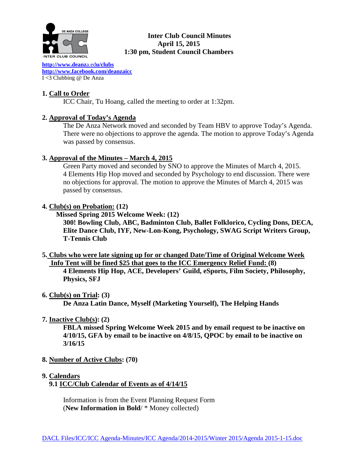

### **Inter Club Council Minutes April 15, 2015 1:30 pm, Student Council Chambers**

**[http://www.deanz](http://www.deanza.edu/clubs)**a.ed**u/clubs [http://www.facebook.com/deanzaicc](http://www.facebook.com/home.php%23!/group.php?gid=59034552686)** I <3 Clubbing @ De Anza

# **1. Call to Order**

ICC Chair, Tu Hoang, called the meeting to order at 1:32pm.

## **2. Approval of Today's Agenda**

The De Anza Network moved and seconded by Team HBV to approve Today's Agenda. There were no objections to approve the agenda. The motion to approve Today's Agenda was passed by consensus.

## **3. Approval of the Minutes – March 4, 2015**

Green Party moved and seconded by SNO to approve the Minutes of March 4, 2015. 4 Elements Hip Hop moved and seconded by Psychology to end discussion. There were no objections for approval. The motion to approve the Minutes of March 4, 2015 was passed by consensus.

### **4. Club(s) on Probation: (12)**

 **Missed Spring 2015 Welcome Week: (12)**

**300! Bowling Club, ABC, Badminton Club, Ballet Folklorico, Cycling Dons, DECA, Elite Dance Club, IYF, New-Lon-Kong, Psychology, SWAG Script Writers Group, T-Tennis Club**

**5. Clubs who were late signing up for or changed Date/Time of Original Welcome Week Info Tent will be fined \$25 that goes to the ICC Emergency Relief Fund: (8)**

**4 Elements Hip Hop, ACE, Developers' Guild, eSports, Film Society, Philosophy, Physics, SFJ**

#### **6. Club(s) on Trial: (3)**

**De Anza Latin Dance, Myself (Marketing Yourself), The Helping Hands**

## **7. Inactive Club(s): (2)**

**FBLA missed Spring Welcome Week 2015 and by email request to be inactive on 4/10/15, GFA by email to be inactive on 4/8/15, QPOC by email to be inactive on 3/16/15**

- **8. Number of Active Clubs: (70)**
- **9. Calendars**
	- **9.1 ICC/Club Calendar of Events as of 4/14/15**

 Information is from the Event Planning Request Form (**New Information in Bold**/ \* Money collected)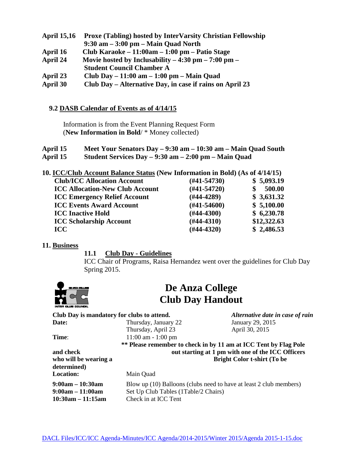- **April 15,16 Proxe (Tabling) hosted by InterVarsity Christian Fellowship 9:30 am – 3:00 pm – Main Quad North April 16 Club Karaoke – 11:00am – 1:00 pm – Patio Stage April 24 Movie hosted by Inclusability – 4:30 pm – 7:00 pm – Student Council Chamber A April 23 Club Day – 11:00 am – 1:00 pm – Main Quad**
- **April 30 Club Day – Alternative Day, in case if rains on April 23**

### **9.2 DASB Calendar of Events as of 4/14/15**

Information is from the Event Planning Request Form (**New Information in Bold**/ \* Money collected)

| April 15 | Meet Your Senators Day - 9:30 am - 10:30 am - Main Quad South |
|----------|---------------------------------------------------------------|
| April 15 | Student Services Day $-9:30$ am $-2:00$ pm $-$ Main Quad      |

| 10. ICC/Club Account Balance Status (New Information in Bold) (As of 4/14/15) |  |  |  |
|-------------------------------------------------------------------------------|--|--|--|
|                                                                               |  |  |  |

| <b>Club/ICC Allocation Account</b>     | $(\#41 - 54730)$ | \$5,093.19  |
|----------------------------------------|------------------|-------------|
| <b>ICC Allocation-New Club Account</b> | $(#41-54720)$    | 500.00      |
| <b>ICC Emergency Relief Account</b>    | $(H44-4289)$     | \$3,631.32  |
| <b>ICC Events Award Account</b>        | $(H41-54600)$    | \$5,100.00  |
| <b>ICC Inactive Hold</b>               | $(\#44 - 4300)$  | \$6,230.78  |
| <b>ICC Scholarship Account</b>         | $(H44-4310)$     | \$12,322.63 |
| <b>ICC</b>                             | $(H44-4320)$     | \$2,486.53  |
|                                        |                  |             |

#### **11. Business**

#### **11.1 Club Day - Guidelines**

ICC Chair of Programs, Raisa Hernandez went over the guidelines for Club Day Spring 2015.



# **De Anza College Club Day Handout**

| Club Day is mandatory for clubs to attend. |                                                                                                            | Alternative date in case of rain                  |  |
|--------------------------------------------|------------------------------------------------------------------------------------------------------------|---------------------------------------------------|--|
| Date:                                      | Thursday, January 22                                                                                       | January 29, 2015                                  |  |
|                                            | Thursday, April 23                                                                                         | April 30, 2015                                    |  |
| Time:                                      | $11:00$ am $-1:00$ pm                                                                                      |                                                   |  |
|                                            | ** Please remember to check in by 11 am at ICC Tent by Flag Pole                                           |                                                   |  |
| and check                                  |                                                                                                            | out starting at 1 pm with one of the ICC Officers |  |
| who will be wearing a                      | <b>Bright Color t-shirt (To be</b>                                                                         |                                                   |  |
| determined)                                |                                                                                                            |                                                   |  |
| <b>Location:</b>                           | Main Quad                                                                                                  |                                                   |  |
| $9:00am - 10:30am$<br>$9:00am - 11:00am$   | Blow up (10) Balloons (clubs need to have at least 2 club members)<br>Set Up Club Tables (1Table/2 Chairs) |                                                   |  |

**10:30am – 11:15am** Check in at ICC Tent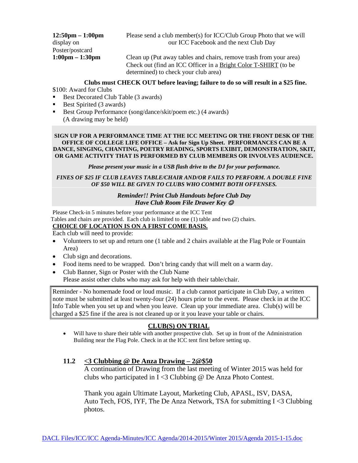| $12:50 \text{pm} - 1:00 \text{pm}$ | Please send a club member(s) for ICC/Club Group Photo that we will |
|------------------------------------|--------------------------------------------------------------------|
| display on                         | our ICC Facebook and the next Club Day                             |
| Poster/postcard                    |                                                                    |
| $1:00 \text{pm} - 1:30 \text{pm}$  | Clean up (Put away tables and chairs, remove trash from your area) |
|                                    | Check out (find an ICC Officer in a Bright Color T-SHIRT (to be    |
|                                    | determined) to check your club area)                               |

# **Clubs must CHECK OUT before leaving; failure to do so will result in a \$25 fine.**

\$100: Award for Clubs

- Best Decorated Club Table (3 awards)
- Best Spirited  $(3 \text{ awards})$
- Best Group Performance (song/dance/skit/poem etc.) (4 awards) (A drawing may be held)

#### **SIGN UP FOR A PERFORMANCE TIME AT THE ICC MEETING OR THE FRONT DESK OF THE OFFICE OF COLLEGE LIFE OFFICE – Ask for Sign Up Sheet. PERFORMANCES CAN BE A DANCE, SINGING, CHANTING, POETRY READING, SPORTS EXIBIT, DEMONSTRATION, SKIT, OR GAME ACTIVITY THAT IS PERFORMED BY CLUB MEMBERS OR INVOLVES AUDIENCE.**

*Please present your music in a USB flash drive to the DJ for your performance.*

#### *FINES OF \$25 IF CLUB LEAVES TABLE/CHAIR AND/OR FAILS TO PERFORM. A DOUBLE FINE OF \$50 WILL BE GIVEN TO CLUBS WHO COMMIT BOTH OFFENSES.*

#### *Reminder!! Print Club Handouts before Club Day Have Club Room File Drawer Key*

Please Check-in 5 minutes before your performance at the ICC Tent Tables and chairs are provided. Each club is limited to one (1) table and two (2) chairs. **CHOICE OF LOCATION IS ON A FIRST COME BASIS.**

Each club will need to provide:

- Volunteers to set up and return one (1 table and 2 chairs available at the Flag Pole or Fountain Area)
- Club sign and decorations.
- Food items need to be wrapped. Don't bring candy that will melt on a warm day.
- Club Banner, Sign or Poster with the Club Name Please assist other clubs who may ask for help with their table/chair.

Reminder - No homemade food or loud music. If a club cannot participate in Club Day, a written note must be submitted at least twenty-four (24) hours prior to the event. Please check in at the ICC Info Table when you set up and when you leave. Clean up your immediate area. Club(s) will be charged a \$25 fine if the area is not cleaned up or it you leave your table or chairs.

#### **CLUB(S) ON TRIAL**

• Will have to share their table with another prospective club. Set up in front of the Administration Building near the Flag Pole. Check in at the ICC tent first before setting up.

#### **11.2 <3 Clubbing @ De Anza Drawing – 2@\$50**

A continuation of Drawing from the last meeting of Winter 2015 was held for clubs who participated in I <3 Clubbing @ De Anza Photo Contest.

Thank you again Ultimate Layout, Marketing Club, APASL, ISV, DASA, Auto Tech, FOS, IYF, The De Anza Network, TSA for submitting  $I < 3$  Clubbing photos.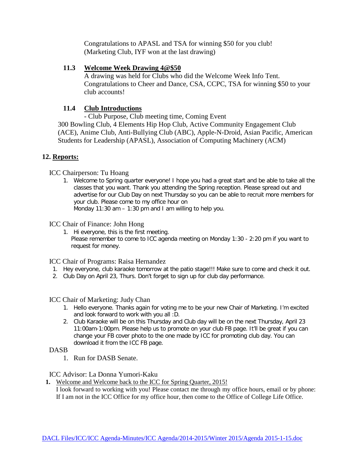Congratulations to APASL and TSA for winning \$50 for you club! (Marketing Club, IYF won at the last drawing)

## **11.3 Welcome Week Drawing 4@\$50**

A drawing was held for Clubs who did the Welcome Week Info Tent. Congratulations to Cheer and Dance, CSA, CCPC, TSA for winning \$50 to your club accounts!

# **11.4 Club Introductions**

- Club Purpose, Club meeting time, Coming Event 300 Bowling Club, 4 Elements Hip Hop Club, Active Community Engagement Club (ACE), Anime Club, Anti-Bullying Club (ABC), Apple-N-Droid, Asian Pacific, American Students for Leadership (APASL), Association of Computing Machinery (ACM)

# **12. Reports:**

ICC Chairperson: Tu Hoang

1. Welcome to Spring quarter everyone! I hope you had a great start and be able to take all the classes that you want. Thank you attending the Spring reception. Please spread out and advertise for our Club Day on next Thursday so you can be able to recruit more members for your club. Please come to my office hour on Monday 11:30 am – 1:30 pm and I am willing to help you.

# ICC Chair of Finance: John Hong

1. Hi everyone, this is the first meeting. Please remember to come to ICC agenda meeting on Monday 1:30 - 2:20 pm if you want to request for money.

# ICC Chair of Programs: Raisa Hernandez

- 1. Hey everyone, club karaoke tomorrow at the patio stage!!! Make sure to come and check it out.
- 2. Club Day on April 23, Thurs. Don't forget to sign up for club day performance.

# ICC Chair of Marketing: Judy Chan

- 1. Hello everyone. Thanks again for voting me to be your new Chair of Marketing. I'm excited and look forward to work with you all :D.
- 2. Club Karaoke will be on this Thursday and Club day will be on the next Thursday, April 23 11:00am-1:00pm. Please help us to promote on your club FB page. It'll be great if you can change your FB cover photo to the one made by ICC for promoting club day. You can download it from the ICC FB page.

# DASB

1. Run for DASB Senate.

## ICC Advisor: La Donna Yumori-Kaku

**1.** Welcome and Welcome back to the ICC for Spring Quarter, 2015! I look forward to working with you! Please contact me through my office hours, email or by phone: If I am not in the ICC Office for my office hour, then come to the Office of College Life Office.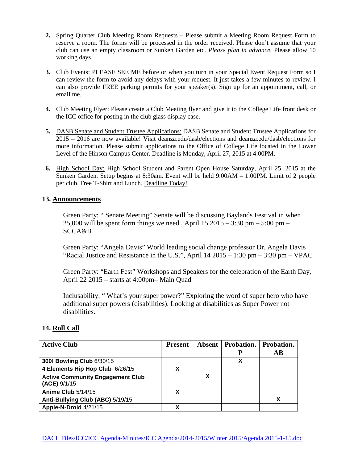- **2.** Spring Quarter Club Meeting Room Requests Please submit a Meeting Room Request Form to reserve a room. The forms will be processed in the order received. Please don't assume that your club can use an empty classroom or Sunken Garden etc. *Please plan in advance.* Please allow 10 working days.
- **3.** Club Events: PLEASE SEE ME before or when you turn in your Special Event Request Form so I can review the form to avoid any delays with your request. It just takes a few minutes to review. I can also provide FREE parking permits for your speaker(s). Sign up for an appointment, call, or email me.
- **4.** Club Meeting Flyer: Please create a Club Meeting flyer and give it to the College Life front desk or the ICC office for posting in the club glass display case.
- **5.** DASB Senate and Student Trustee Applications: DASB Senate and Student Trustee Applications for 2015 – 2016 are now available! Visit deanza.edu/dasb/elections and deanza.edu/dasb/elections for more information. Please submit applications to the Office of College Life located in the Lower Level of the Hinson Campus Center. Deadline is Monday, April 27, 2015 at 4:00PM.
- **6.** High School Day: High School Student and Parent Open House Saturday, April 25, 2015 at the Sunken Garden. Setup begins at 8:30am. Event will be held 9:00AM – 1:00PM. Limit of 2 people per club. Free T-Shirt and Lunch. Deadline Today!

#### **13. Announcements**

Green Party: " Senate Meeting" Senate will be discussing Baylands Festival in when 25,000 will be spent form things we need., April  $15\ 2015 - 3:30$  pm  $- 5:00$  pm  $-$ SCCA&B

Green Party: "Angela Davis" World leading social change professor Dr. Angela Davis "Racial Justice and Resistance in the U.S.", April  $14\ 2015 - 1:30$  pm  $- 3:30$  pm  $-$  VPAC

Green Party: "Earth Fest" Workshops and Speakers for the celebration of the Earth Day, April 22 2015 – starts at 4:00pm– Main Quad

Inclusability: " What's your super power?" Exploring the word of super hero who have additional super powers (disabilities). Looking at disabilities as Super Power not disabilities.

## **14. Roll Call**

| <b>Active Club</b>                                      | <b>Present</b> |   | <b>Absent Probation.</b> | Probation. |
|---------------------------------------------------------|----------------|---|--------------------------|------------|
|                                                         |                |   | P                        | AВ         |
| 300! Bowling Club 6/30/15                               |                |   | Х                        |            |
| 4 Elements Hip Hop Club 6/26/15                         |                |   |                          |            |
| <b>Active Community Engagement Club</b><br>(ACE) 9/1/15 |                | х |                          |            |
| Anime Club 5/14/15                                      |                |   |                          |            |
| Anti-Bullying Club (ABC) 5/19/15                        |                |   |                          |            |
| Apple-N-Droid 4/21/15                                   |                |   |                          |            |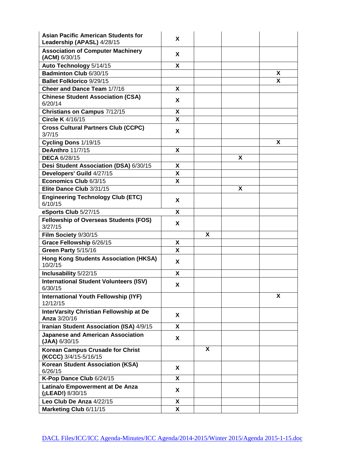| <b>Asian Pacific American Students for</b><br>Leadership (APASL) 4/28/15 | X  |   |   |   |
|--------------------------------------------------------------------------|----|---|---|---|
| <b>Association of Computer Machinery</b><br>(ACM) 6/30/15                | X  |   |   |   |
| Auto Technology 5/14/15                                                  | X  |   |   |   |
| Badminton Club 6/30/15                                                   |    |   |   | X |
| <b>Ballet Folklorico 9/29/15</b>                                         |    |   |   | X |
| Cheer and Dance Team 1/7/16                                              | X  |   |   |   |
| <b>Chinese Student Association (CSA)</b><br>6/20/14                      | X  |   |   |   |
| Christians on Campus 7/12/15                                             | X  |   |   |   |
| <b>Circle K</b> 4/16/15                                                  | X  |   |   |   |
| <b>Cross Cultural Partners Club (CCPC)</b><br>3/7/15                     | X  |   |   |   |
| Cycling Dons 1/19/15                                                     |    |   |   | X |
| DeAnthro 11/7/15                                                         | X  |   |   |   |
| <b>DECA 6/28/15</b>                                                      |    |   | X |   |
| Desi Student Association (DSA) 6/30/15                                   | X  |   |   |   |
| Developers' Guild 4/27/15                                                | X  |   |   |   |
| Economics Club 6/3/15                                                    | X  |   |   |   |
| Elite Dance Club 3/31/15                                                 |    |   | X |   |
| <b>Engineering Technology Club (ETC)</b><br>6/10/15                      | X. |   |   |   |
| eSports Club 5/27/15                                                     | X  |   |   |   |
| <b>Fellowship of Overseas Students (FOS)</b><br>3/27/15                  | x  |   |   |   |
| Film Society 9/30/15                                                     |    | X |   |   |
| Grace Fellowship 6/26/15                                                 | X  |   |   |   |
| Green Party 5/15/16                                                      | X  |   |   |   |
| <b>Hong Kong Students Association (HKSA)</b><br>10/2/15                  | X  |   |   |   |
| Inclusability 5/22/15                                                    | X  |   |   |   |
| <b>International Student Volunteers (ISV)</b><br>6/30/15                 | X. |   |   |   |
| <b>International Youth Fellowship (IYF)</b><br>12/12/15                  |    |   |   | Χ |
| InterVarsity Christian Fellowship at De<br>Anza 3/20/16                  | X  |   |   |   |
| Iranian Student Association (ISA) 4/9/15                                 | X  |   |   |   |
| <b>Japanese and American Association</b><br>(JAA) 6/30/15                | X  |   |   |   |
| <b>Korean Campus Crusade for Christ</b><br>(KCCC) 3/4/15-5/16/15         |    | X |   |   |
| <b>Korean Student Association (KSA)</b><br>6/26/15                       | X  |   |   |   |
| K-Pop Dance Club 6/24/15                                                 | X  |   |   |   |
| Latina/o Empowerment at De Anza<br>(¡LEAD!) 8/30/15                      | X  |   |   |   |
| Leo Club De Anza 4/22/15                                                 | X  |   |   |   |
| Marketing Club 6/11/15                                                   | X  |   |   |   |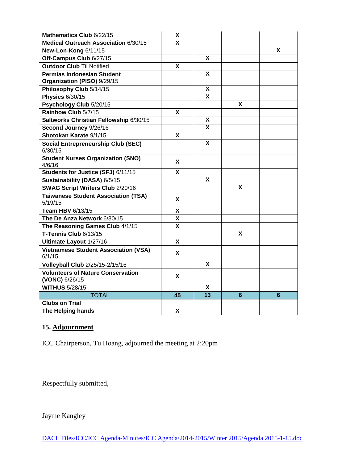| Mathematics Club 6/22/15                                   | X  |                           |                           |                |
|------------------------------------------------------------|----|---------------------------|---------------------------|----------------|
| Medical Outreach Association 6/30/15                       | x  |                           |                           |                |
| New-Lon-Kong 6/11/15                                       |    |                           |                           | X              |
| Off-Campus Club 6/27/15                                    |    | X                         |                           |                |
| <b>Outdoor Club Til Notified</b>                           | X  |                           |                           |                |
| <b>Permias Indonesian Student</b>                          |    | X                         |                           |                |
| Organization (PISO) 9/29/15                                |    |                           |                           |                |
| Philosophy Club 5/14/15                                    |    | X                         |                           |                |
| <b>Physics 6/30/15</b>                                     |    | $\boldsymbol{\mathsf{X}}$ |                           |                |
| Psychology Club 5/20/15                                    |    |                           | X                         |                |
| Rainbow Club 5/7/15                                        | X  |                           |                           |                |
| Saltworks Christian Fellowship 6/30/15                     |    | X                         |                           |                |
| Second Journey 9/26/16                                     |    | $\overline{\mathbf{x}}$   |                           |                |
| Shotokan Karate 9/1/15                                     | X  |                           |                           |                |
| <b>Social Entrepreneurship Club (SEC)</b><br>6/30/15       |    | $\boldsymbol{\mathsf{X}}$ |                           |                |
| <b>Student Nurses Organization (SNO)</b>                   | X  |                           |                           |                |
| 4/6/16                                                     |    |                           |                           |                |
| Students for Justice (SFJ) 6/11/15                         | X  |                           |                           |                |
| Sustainability (DASA) 6/5/15                               |    | X                         |                           |                |
| <b>SWAG Script Writers Club 2/20/16</b>                    |    |                           | X                         |                |
| <b>Taiwanese Student Association (TSA)</b><br>5/19/15      | X  |                           |                           |                |
| Team HBV 6/13/15                                           | X  |                           |                           |                |
| The De Anza Network 6/30/15                                | X  |                           |                           |                |
| The Reasoning Games Club 4/1/15                            | X  |                           |                           |                |
| T-Tennis Club 6/13/15                                      |    |                           | $\boldsymbol{\mathsf{X}}$ |                |
| Ultimate Layout 1/27/16                                    | X  |                           |                           |                |
| <b>Vietnamese Student Association (VSA)</b><br>6/1/15      | X  |                           |                           |                |
| Volleyball Club 2/25/15-2/15/16                            |    | X                         |                           |                |
| <b>Volunteers of Nature Conservation</b><br>(VONC) 6/26/15 | X  |                           |                           |                |
| <b>WITHUS 5/28/15</b>                                      |    | X                         |                           |                |
| <b>TOTAL</b>                                               | 45 | $\overline{13}$           | $6\phantom{1}$            | $6\phantom{1}$ |
| <b>Clubs on Trial</b>                                      |    |                           |                           |                |
| <b>The Helping hands</b>                                   | X  |                           |                           |                |

# **15. Adjournment**

ICC Chairperson, Tu Hoang, adjourned the meeting at 2:20pm

Respectfully submitted,

Jayme Kangley